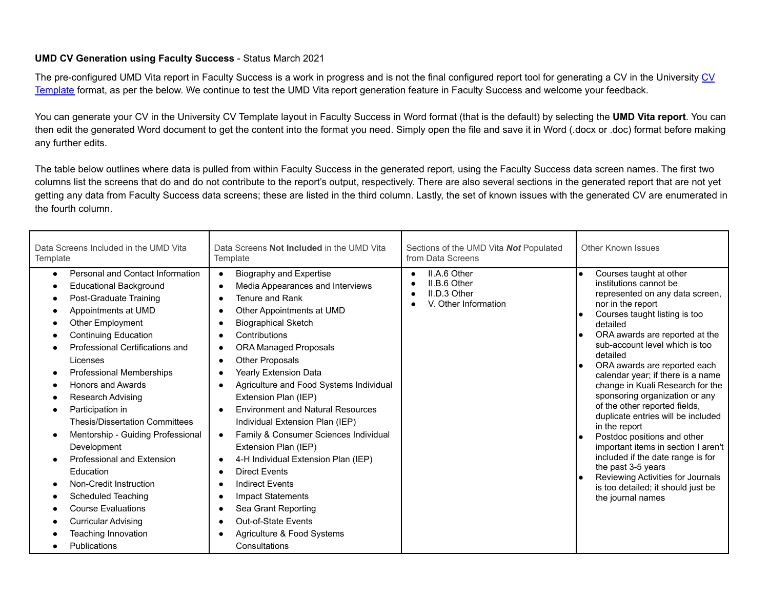## **UMD CV Generation using Faculty Success** - Status March 2021

The pre-configured UMD Vita report in Faculty Success is a work in progress and is not the final configured report tool for generating a [CV](https://faculty.umd.edu/sites/default/files/templates/CVTemplate.docx) in the University CV [Template](https://faculty.umd.edu/sites/default/files/templates/CVTemplate.docx) format, as per the below. We continue to test the UMD Vita report generation feature in Faculty Success and welcome your feedback.

You can generate your CV in the University CV Template layout in Faculty Success in Word format (that is the default) by selecting the **UMD Vita report**. You can then edit the generated Word document to get the content into the format you need. Simply open the file and save it in Word (.docx or .doc) format before making any further edits.

The table below outlines where data is pulled from within Faculty Success in the generated report, using the Faculty Success data screen names. The first two columns list the screens that do and do not contribute to the report's output, respectively. There are also several sections in the generated report that are not yet getting any data from Faculty Success data screens; these are listed in the third column. Lastly, the set of known issues with the generated CV are enumerated in the fourth column.

| Data Screens Included in the UMD Vita                                                                                                                                                                                                                                                                                                                                                                                                                                                                                                                                                                                                      | Data Screens Not Included in the UMD Vita                                                                                                                                                                                                                                                                                                                                                                                                                                                                                                                                                                                                                                                                                                                                                                                                | Sections of the UMD Vita <b>Not</b> Populated                                     | <b>Other Known Issues</b>                                                                                                                                                                                                                                                                                                                                                                                                                                                                                                                                                                                                                                                                                  |
|--------------------------------------------------------------------------------------------------------------------------------------------------------------------------------------------------------------------------------------------------------------------------------------------------------------------------------------------------------------------------------------------------------------------------------------------------------------------------------------------------------------------------------------------------------------------------------------------------------------------------------------------|------------------------------------------------------------------------------------------------------------------------------------------------------------------------------------------------------------------------------------------------------------------------------------------------------------------------------------------------------------------------------------------------------------------------------------------------------------------------------------------------------------------------------------------------------------------------------------------------------------------------------------------------------------------------------------------------------------------------------------------------------------------------------------------------------------------------------------------|-----------------------------------------------------------------------------------|------------------------------------------------------------------------------------------------------------------------------------------------------------------------------------------------------------------------------------------------------------------------------------------------------------------------------------------------------------------------------------------------------------------------------------------------------------------------------------------------------------------------------------------------------------------------------------------------------------------------------------------------------------------------------------------------------------|
| Template                                                                                                                                                                                                                                                                                                                                                                                                                                                                                                                                                                                                                                   | Template                                                                                                                                                                                                                                                                                                                                                                                                                                                                                                                                                                                                                                                                                                                                                                                                                                 | from Data Screens                                                                 |                                                                                                                                                                                                                                                                                                                                                                                                                                                                                                                                                                                                                                                                                                            |
| Personal and Contact Information<br>$\bullet$<br><b>Educational Background</b><br>Post-Graduate Training<br>Appointments at UMD<br><b>Other Employment</b><br><b>Continuing Education</b><br>Professional Certifications and<br>Licenses<br>Professional Memberships<br>Honors and Awards<br><b>Research Advising</b><br>Participation in<br><b>Thesis/Dissertation Committees</b><br>Mentorship - Guiding Professional<br>Development<br><b>Professional and Extension</b><br>Education<br>Non-Credit Instruction<br>Scheduled Teaching<br><b>Course Evaluations</b><br><b>Curricular Advising</b><br>Teaching Innovation<br>Publications | Biography and Expertise<br>$\bullet$<br>Media Appearances and Interviews<br>$\bullet$<br>Tenure and Rank<br>$\bullet$<br>Other Appointments at UMD<br>$\bullet$<br><b>Biographical Sketch</b><br>Contributions<br><b>ORA Managed Proposals</b><br>$\bullet$<br><b>Other Proposals</b><br>Yearly Extension Data<br>Agriculture and Food Systems Individual<br>Extension Plan (IEP)<br><b>Environment and Natural Resources</b><br>$\bullet$<br>Individual Extension Plan (IEP)<br>Family & Consumer Sciences Individual<br>$\bullet$<br>Extension Plan (IEP)<br>4-H Individual Extension Plan (IEP)<br><b>Direct Events</b><br><b>Indirect Events</b><br>$\bullet$<br><b>Impact Statements</b><br>Sea Grant Reporting<br>$\bullet$<br><b>Out-of-State Events</b><br>$\bullet$<br>Agriculture & Food Systems<br>$\bullet$<br>Consultations | II.A.6 Other<br>$\bullet$<br>II.B.6 Other<br>II.D.3 Other<br>V. Other Information | Courses taught at other<br>institutions cannot be<br>represented on any data screen,<br>nor in the report<br>Courses taught listing is too<br>detailed<br>ORA awards are reported at the<br>sub-account level which is too<br>detailed<br>ORA awards are reported each<br>calendar year; if there is a name<br>change in Kuali Research for the<br>sponsoring organization or any<br>of the other reported fields,<br>duplicate entries will be included<br>in the report<br>Postdoc positions and other<br>important items in section I aren't<br>included if the date range is for<br>the past 3-5 years<br>Reviewing Activities for Journals<br>is too detailed; it should just be<br>the journal names |